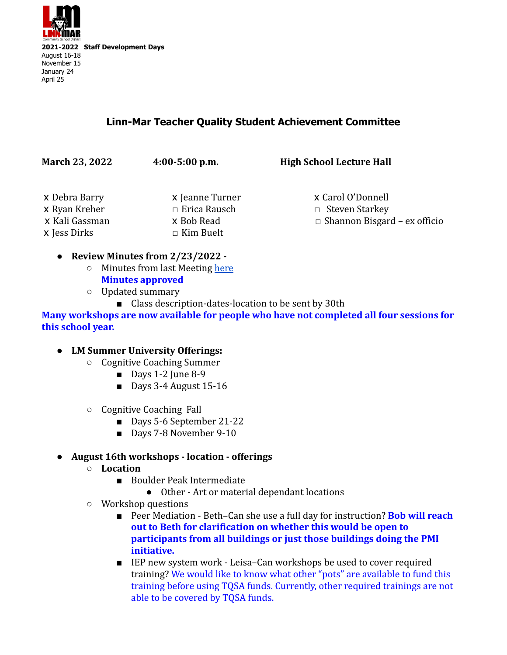

## **Linn-Mar Teacher Quality Student Achievement Committee**

| x Carol O'Donnell<br>x Jeanne Turner              |
|---------------------------------------------------|
| $\Box$ Erica Rausch<br>$\Box$ Steven Starkey      |
| $\Box$ Shannon Bisgard – ex officio<br>x Bob Read |
| $\Box$ Kim Buelt                                  |
|                                                   |

- **● Review Minutes from 2/23/2022 -**
	- Minutes from last Meeting [here](https://docs.google.com/document/d/1GfA0ZSukrpR1XODW4ISD0S7Z0SU4cqGJ7QhaWzNwj9s/edit) **Minutes approved**
	- Updated summary
		- Class description-dates-location to be sent by 30th

**Many workshops are now available for people who have not completed all four sessions for this school year.**

#### **● LM Summer University Offerings:**

- Cognitive Coaching Summer
	- Days 1-2 June 8-9
	- Days 3-4 August 15-16
- Cognitive Coaching Fall
	- Days 5-6 September 21-22
	- Days 7-8 November 9-10
- **● August 16th workshops location offerings**
	- **○ Location**
		- Boulder Peak Intermediate
			- Other Art or material dependant locations
	- Workshop questions
		- Peer Mediation Beth–Can she use a full day for instruction? **Bob will reach out to Beth for clarification on whether this would be open to participants from all buildings or just those buildings doing the PMI initiative.**
		- IEP new system work Leisa–Can workshops be used to cover required training? We would like to know what other "pots" are available to fund this training before using TQSA funds. Currently, other required trainings are not able to be covered by TQSA funds.